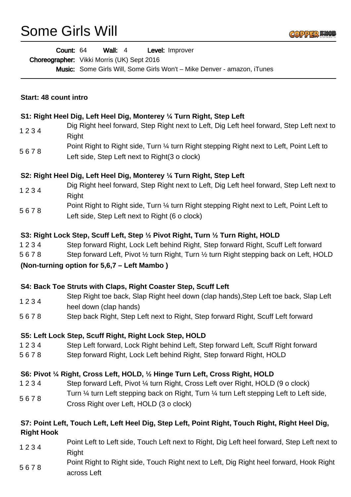## Some Girls Will

|                       | Level: Improver<br>Count: 64<br>Wall: $4$                                                                                                   |
|-----------------------|---------------------------------------------------------------------------------------------------------------------------------------------|
|                       | Choreographer: Vikki Morris (UK) Sept 2016                                                                                                  |
|                       | <b>Music:</b> Some Girls Will, Some Girls Won't - Mike Denver - amazon, iTunes                                                              |
|                       |                                                                                                                                             |
| Start: 48 count intro |                                                                                                                                             |
|                       | S1: Right Heel Dig, Left Heel Dig, Monterey 1/4 Turn Right, Step Left                                                                       |
| 1234                  | Dig Right heel forward, Step Right next to Left, Dig Left heel forward, Step Left next to<br>Right                                          |
| 5678                  | Point Right to Right side, Turn 1/4 turn Right stepping Right next to Left, Point Left to<br>Left side, Step Left next to Right(3 o clock)  |
|                       | S2: Right Heel Dig, Left Heel Dig, Monterey 1/4 Turn Right, Step Left                                                                       |
| 1234                  | Dig Right heel forward, Step Right next to Left, Dig Left heel forward, Step Left next to<br>Right                                          |
| 5678                  | Point Right to Right side, Turn 1/4 turn Right stepping Right next to Left, Point Left to<br>Left side, Step Left next to Right (6 o clock) |
|                       | S3: Right Lock Step, Scuff Left, Step 1/2 Pivot Right, Turn 1/2 Turn Right, HOLD                                                            |
| 1234                  | Step forward Right, Lock Left behind Right, Step forward Right, Scuff Left forward                                                          |
| 5678                  | Step forward Left, Pivot 1/2 turn Right, Turn 1/2 turn Right stepping back on Left, HOLD                                                    |
|                       | (Non-turning option for 5,6,7 – Left Mambo)                                                                                                 |
|                       | S4: Back Toe Struts with Claps, Right Coaster Step, Scuff Left                                                                              |
| 1234                  | Step Right toe back, Slap Right heel down (clap hands), Step Left toe back, Slap Left<br>heel down (clap hands)                             |
| 5678                  | Step back Right, Step Left next to Right, Step forward Right, Scuff Left forward                                                            |
|                       | S5: Left Lock Step, Scuff Right, Right Lock Step, HOLD                                                                                      |
| 1234                  | Step Left forward, Lock Right behind Left, Step forward Left, Scuff Right forward                                                           |
| 5678                  | Step forward Right, Lock Left behind Right, Step forward Right, HOLD                                                                        |
|                       | S6: Pivot 1/4 Right, Cross Left, HOLD, 1/2 Hinge Turn Left, Cross Right, HOLD                                                               |
| 1234                  | Step forward Left, Pivot 1/4 turn Right, Cross Left over Right, HOLD (9 o clock)                                                            |
| 5678                  | Turn 1/4 turn Left stepping back on Right, Turn 1/4 turn Left stepping Left to Left side,                                                   |
|                       | Cross Right over Left, HOLD (3 o clock)                                                                                                     |
|                       | S7: Point Left, Touch Left, Left Heel Dig, Step Left, Point Right, Touch Right, Right Heel Dig,                                             |
| <b>Right Hook</b>     |                                                                                                                                             |
| 1234                  | Point Left to Left side, Touch Left next to Right, Dig Left heel forward, Step Left next to<br><b>Right</b>                                 |
|                       | Point Right to Right side, Touch Right next to Left, Dig Right heel forward, Hook Right                                                     |

5 6 7 8 across Left